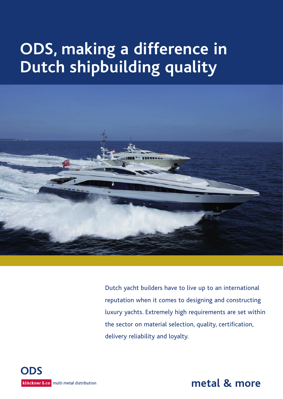# **ODS, making a difference in Dutch shipbuilding quality**



Dutch yacht builders have to live up to an international reputation when it comes to designing and constructing luxury yachts. Extremely high requirements are set within the sector on material selection, quality, certification, delivery reliability and loyalty.



**metal & more**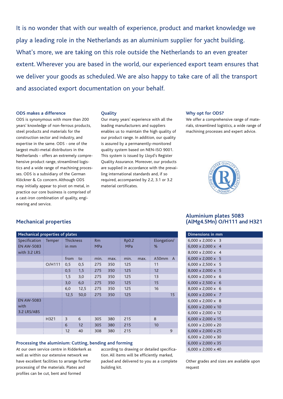It is no wonder that with our wealth of experience, product and market knowledge we play a leading role in the Netherlands as an aluminium supplier for yacht building. What's more, we are taking on this role outside the Netherlands to an even greater extent. Wherever you are based in the world, our experienced export team ensures that we deliver your goods as scheduled. We are also happy to take care of all the transport and associated export documentation on your behalf.

#### **ODS makes a difference**

ODS is synonymous with more than 200 years' knowledge of non-ferrous products, steel products and materials for the construction sector and industry, and expertise in the same. ODS - one of the largest multi-metal distributors in the Netherlands - offers an extremely comprehensive product range, streamlined logistics and a wide range of machining processes. ODS is a subsidiary of the German Klöckner & Co concern. Although ODS may initially appear to pivot on metal, in practice our core business is comprised of a cast-iron combination of quality, engineering and service.

#### **Quality**

Our many years' experience with all the leading manufacturers and suppliers enables us to maintain the high quality of our product range. In addition, our quality is assured by a permanently-monitored quality system based on NEN-ISO 9001. This system is issued by Lloyd's Register Quality Assurance. Moreover, our products are supplied in accordance with the prevailing international standards and, if so required, accompanied by 2.2, 3.1 or 3.2 material certificates.

#### **Why opt for ODS?**

We offer a comprehensive range of materials, streamlined logistics, a wide range of machining processes and expert advice.



# **Mechanical properties**

| <b>Mechanical properties of plates</b> |                     |                  |      |            |      |              |      |             |              |
|----------------------------------------|---------------------|------------------|------|------------|------|--------------|------|-------------|--------------|
| <b>Specification</b>                   | Temper<br>÷,        | <b>Thickness</b> |      | Rm         |      | <b>Rp0.2</b> |      | Elongation/ |              |
| <b>EN AW-5083</b>                      |                     | in mm            |      | <b>MPa</b> |      | <b>MPa</b>   |      | %           |              |
| with 3.2 LRS                           |                     |                  |      |            |      |              |      |             |              |
|                                        |                     | from             | to   | min.       | max. | min.         | max. | A50mm       | $\mathsf{A}$ |
|                                        | O/H111<br>$\bullet$ | 0,5              | 0,5  | 275        | 350  | 125          |      | 11          |              |
|                                        |                     | 0,5              | 1,5  | 275        | 350  | 125          |      | 12          |              |
|                                        |                     | 1,5              | 3,0  | 275        | 350  | 125          |      | 13          |              |
|                                        |                     | 3,0              | 6,0  | 275        | 350  | 125          |      | 15          |              |
|                                        |                     | 6,0              | 12,5 | 275        | 350  | 125          |      | 16          |              |
|                                        |                     | 12,5             | 50,0 | 275        | 350  | 125          |      |             | 15           |
| <b>EN AW-5083</b><br>with              |                     |                  |      |            |      |              |      |             |              |
| 3.2 LRS/ABS                            |                     |                  |      |            |      |              |      |             |              |
|                                        | H321                | 3                | 6    | 305        | 380  | 215          |      | 8           |              |
|                                        |                     | 6                | 12   | 305        | 380  | 215          |      | 10          |              |
|                                        |                     | 12               | 40   | 308        | 380  | 215          |      |             | 9            |

#### **Processing the aluminium: Cutting, bending and forming**

At our own service centre in Ridderkerk as well as within our extensive network we have excellent facilities to arrange further processing of the materials. Plates and profiles can be cut, bent and formed

according to drawing or detailed specification. All items will be efficiently marked, packed and delivered to you as a complete building kit.

# **Aluminium plates 5083 (AlMg4.5Mn) O/H111 and H321**

| <b>Dimensions in mm</b>                       |
|-----------------------------------------------|
| 6,000 x 2,000 x<br>3                          |
| $6,000 \times 2,000 \times$<br>$\overline{4}$ |
| 8,000 x 2,000 x<br>$\boldsymbol{\mathcal{A}}$ |
| $6,000 \times 2,000 \times 5$                 |
| $6,000 \times 2,500 \times 5$                 |
| 8,000 x 2,000 x 5                             |
| 6,000 x 2,000 x<br>6                          |
| $6.000 \times 2.500 \times$<br>6              |
| $8.000 \times 2.000 \times 6$                 |
| $6,000 \times 2,000 \times 7$                 |
| $6,000 \times 2,000 \times 8$                 |
| $6,000 \times 2,000 \times 10$                |
| $6,000 \times 2,000 \times 12$                |
| 6,000 x 2,000 x 15                            |
| 6,000 x 2,000 x 20                            |
| 6,000 x 2,000 x 25                            |
| $6.000 \times 2.000 \times 30$                |
| $6.000 \times 2.000 \times 35$                |
| 6,000 x 2,000 x 40                            |

Other grades and sizes are available upon request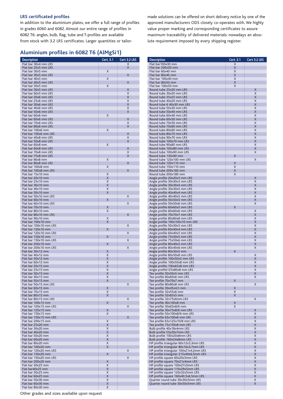#### **LRS certificated profiles**

In addition to the aluminium plates, we offer a full range of profiles in grades 6060 and 6082. Almost our entire range of profiles in 6082 T6: angles, bulb, flag, tube and T-profiles are available from stock with 3.2 LRS certificates. Larger quantities or tailor-

# **Aluminium profiles in 6082 T6 (AlMgSi1)**

| <b>Description</b>                           | Cert. 3.1 | Cert 3.2 LRS |
|----------------------------------------------|-----------|--------------|
| Flat bar 30x4 mm LRS                         |           | X            |
| Flat bar 25x5 mm LRS                         |           | X            |
| Flat bar 30x5 mm                             | X         |              |
| Flat bar 30x5 mm LRS                         |           | X            |
| Flat bar 40x5 mm                             | X         |              |
| Flat bar 40x5 mm LRS                         |           | X            |
| Flat bar 50x5 mm                             | X         |              |
| Flat bar 50x5 mm LRS<br>Flat bar 60x5 mm LRS |           | X<br>X       |
| Flat bar 20x6 mm LRS                         |           | X            |
| Flat bar 25x6 mm LRS                         |           | X            |
| Flat bar 30x6 mm LRS                         |           | X            |
| Flat bar 40x6 mm LRS                         |           | X            |
| Flat bar 50x6 mm LRS                         |           | X            |
| Flat bar 60x6 mm                             | Χ         |              |
| Flat bar 60x6 mm LRS                         |           | X            |
| Flat bar 70x6 mm LRS                         |           | X            |
| Flat bar 80x6 mm LRS                         |           | X            |
| Flat bar 100x6 mm                            | X         |              |
| Flat bar 100x6 mm LRS                        |           | X            |
| Flat bar 40x8 mm LRS                         |           | X            |
| Flat bar 50x8 mm LRS                         |           | X            |
| Flat bar 60x8 mm                             | X         |              |
| Flat bar 60x8 mm LRS                         |           | X            |
| Flat bar 70x8 mm LRS                         |           | X            |
| Flat bar 75x8 mm LRS                         |           | X            |
| Flat bar 80x8 mm                             | X         |              |
| Flat bar 80x8 mm LRS                         |           | X            |
| Flat bar 100x8 mm                            | X         |              |
| Flat bar 100x8 mm LRS<br>Flat bar 15x10 mm   | X         | X            |
| Flat bar 20x10 mm                            | X         |              |
| Flat bar 25x10 mm                            | X         |              |
| Flat bar 30x10 mm                            | X         |              |
| Flat bar 40x10 mm                            | Χ         |              |
| Flat bar 50x10 mm                            | Χ         |              |
| Flat bar 50x10 mm LRS                        |           | X            |
| Flat bar 60x10 mm                            | Χ         |              |
| Flat bar 60x10 mm LRS                        |           | X            |
| Flat bar 70x10 mm                            | Χ         |              |
| Flat bar 80x10 mm                            | X         |              |
| Flat bar 80x10 mm LRS                        |           | X            |
| Flat bar 90x10 mm                            | X         |              |
| Flat bar 100x10 mm                           | Χ         |              |
| Flat bar 100x10 mm LRS                       |           | X            |
| Flat bar 120x10 mm                           | X         |              |
| Flat bar 120x10 mm LRS                       |           | X            |
| Flat bar 150x10 mm                           | Χ         |              |
| Flat bar 150x10 mm LRS                       |           | X            |
| Flat bar 200x10 mm                           | Χ         |              |
| Flat bar 200x10 mm LRS                       |           | X            |
| Flat bar 30x12 mm                            | X         |              |
| Flat bar 40x12 mm<br>Flat bar 50x12 mm       | Χ         |              |
| Flat bar 60x12 mm                            | Χ<br>Χ    |              |
| Flat bar 20x15 mm                            | X         |              |
| Flat bar 25x15 mm                            | X         |              |
| Flat bar 30x15 mm                            | X         |              |
| Flat bar 40x15 mm                            | X         |              |
| Flat bar 50x15 mm                            | X         |              |
| Flat bar 50x15 mm LRS                        |           | X            |
| Flat bar 60x15 mm                            | X         |              |
| Flat bar 70x15 mm                            | X         |              |
| Flat bar 80x15 mm                            | X         |              |
| Flat bar 80x15 mm LRS                        |           | X            |
| Flat bar 100x15 mm                           | X         |              |
| Flat bar 100x15 mm LRS                       |           | X            |
| Flat bar 125x15 mm                           | Χ         |              |
| Flat bar 150x15 mm                           | X         |              |
| Flat bar 150x15 mm LRS                       |           | X            |
| Flat bar 200x15 mm<br>Flat bar 25x20 mm      | X<br>X    |              |
| Flat bar 30x20 mm                            | X         |              |
| Flat bar 40x20 mm                            | X         |              |
| Flat bar 50x20 mm                            | X         |              |
| Flat bar 60x20 mm                            | X         |              |
| Flat bar 80x20 mm                            | X         |              |
| Flat bar 100x20 mm                           | Χ         |              |
| Flat bar 120x20 mm LRS                       |           | X            |
| Flat bar 150x20 mm                           | X         |              |
| Flat bar 150x20 mm LRS                       |           | X            |
| Flat bar 200x20 mm                           | X         |              |
| Flat bar 30x25 mm                            | X         |              |
| Flat bar40x25 mm                             | X         |              |
| Flat bar 50x25 mm                            | X         |              |
| Flat bar 60x25 mm                            | X         |              |
| Flat bar 50x30 mm                            | X         |              |
| Flat bar 60x30 mm                            | X         |              |
| Flat bar 80x30 mm                            | X         |              |

made solutions can be offered on short delivery notice by one of the approved manufacturers ODS closely co-operates with. We highly value proper marking and corresponding certificates to assure maximum traceability of delivered materials: nowadays an absolute requirement imposed by every shipping register.

| <b>Description</b>                                                        | Cert. 3.1         | Cert 3.2 LRS   |
|---------------------------------------------------------------------------|-------------------|----------------|
| Flat bar100x30 mm                                                         | X                 |                |
| Flat bar 200x30 mm<br>Flat bar 60x40 mm                                   | X                 |                |
| Flat bar 80x40 mm                                                         | X<br>$\mathsf{X}$ |                |
| Flat bar 100x40 mm                                                        | X                 |                |
| Flat bar 80x50 mm                                                         | X                 |                |
| Flat bar 100x50 mm                                                        | X                 |                |
| Round tube 25x20 mm LRS                                                   |                   | X              |
| Round tube 30x20 mm LRS                                                   |                   | X              |
| Round tube 35x25 mm LRS                                                   |                   | $\overline{X}$ |
| Round tube 40x20 mm LRS                                                   |                   | X              |
| Round tube 6 40x30 mm LRS                                                 |                   | X              |
| Round tube 50x30 mm LRS<br>Round tube 50x40 mm LRS                        |                   | Χ<br>X         |
| Round tube 60x40 mm LRS                                                   |                   | X              |
| Round tube 60x50 mm LRS                                                   |                   | X              |
| Round tube 70x50 mm LRS                                                   |                   | Χ              |
| Round tube 70x60 mm LRS                                                   |                   | X              |
| Round tube 80x60 mm LRS                                                   |                   | Χ              |
| Round tube 80x70 mm LRS                                                   |                   | X              |
| Round tube 90x70 mm LRS                                                   |                   | X              |
| Round tube 100x70 mm LRS                                                  |                   | X              |
| Round tube 90x80 mm LRS                                                   |                   | Χ              |
| Round tube 100x80 mm LRS<br>Round tube 100x90 mm LRS                      |                   | X<br>X         |
| Round tube 130x90 mm                                                      | X                 |                |
| Round tube 120x100 mm LRS                                                 |                   | Χ              |
| Round tube 120x110 mm                                                     | X                 |                |
| Round tube 150x110 mm                                                     | X                 |                |
| Round tube 200x160 mm                                                     | X                 |                |
| Round tube 200x180 mm                                                     | X                 |                |
| Angle profile 20x20x3 mm LRS                                              |                   | X              |
| Angle profile 30x30x3 mm LRS                                              |                   | X              |
| Angle profile 30x30x4 mm LRS                                              |                   | X              |
| Angle profile 30x30x5 mm LRS                                              |                   | X              |
| Angle profile 40x40x4 mm LRS<br>Angle profile 40x40x5 mm LRS              |                   | X<br>Χ         |
| Angle profile 50x50x5 mm LRS                                              |                   | X              |
| Angle profile 50x50x6 mm LRS                                              |                   | X              |
| Angle profile 60x60x5 mm LRS                                              | X                 |                |
| Angle profile 60x60x6 mm LRS                                              |                   | X              |
| Angle profile 70x70x7 mm LRS                                              |                   | X              |
| Angle profile 80x80x8 mm LRS                                              |                   | Χ              |
| Angle profile 100x100x10 mm LRS                                           |                   | X              |
| Angle profile 50x30x5 mm LRS                                              |                   | X              |
| Angle profile 60x40x4 mm LRS                                              |                   | X              |
| Angle profile 60x40x5 mm LRS                                              |                   | X<br>X         |
| Angle profile 75x50x5 mm LRS<br>Angle profile 75x50x6 mm LRS              |                   | Χ              |
| Angle profile 80x40x5 mm LRS                                              |                   | X              |
| Angle profile 80x40x6 mm LRS                                              |                   | X              |
| Angle profile 80x50x5 mm                                                  | X                 |                |
| Angle profile 80x50x8 mm LRS                                              |                   | X              |
| Angle profile 100x50x5 mm LRS                                             |                   | X              |
| Angle profile 100x50x8 mm LRS                                             |                   | X              |
| Angle profile 100x65x8 mm LRS                                             |                   | X              |
| Angle profile125x80x8 mm LRS                                              |                   | X              |
| Tee profile 50x50x5 mm LRS<br>Tee profile 60x60x6 mm LRS                  |                   | X<br>X         |
| Tee profile 70x70x7 mm                                                    | X                 |                |
| Tee profile 80x80x8 mm LRS                                                |                   | X              |
| Tee profile 30x45x4,5 mm                                                  | X                 |                |
| Tee profile 32x55x6 mm                                                    | X                 |                |
| Tee profile 32x65x5 mm                                                    | X                 |                |
| Tee profile 32x75x6mm LRS                                                 |                   | X              |
| Tee profile 40x100x8 mm                                                   | X                 |                |
| Tee profile 50x65x8/6 mm                                                  | X                 |                |
| Tee profile 50x75x8/6 mm LRS                                              |                   | X<br>X         |
| Tee profile 50x100x8/6 mm LRS<br>Tee profile 65x100x8 mm LRS              |                   | X              |
| Tee profile 65x125x10/8 mm LRS                                            |                   | X              |
| Tee profile 75x150x8 mm LRS                                               |                   | X              |
| Bulb profile 40x18x4mm LRS                                                |                   | X              |
| Bulb profile 55x20x7mm LRS                                                |                   | X              |
| Bulb profile 100x20x8mm LRS                                               |                   | X              |
| Bulb profile 160x24x8mm LRS                                               |                   | X              |
| HP profile triangular 60x12x3,3mm LRS                                     |                   | X              |
| HP profile triangular 80x16x3,7mm LRS                                     |                   | X              |
| HP profile triangular 100x21x4,2mm LRS                                    |                   | X<br>X         |
| HP profile triangular 215x40x6,5mm LRS<br>HP profile square 60x20x5mm LRS |                   | X              |
| HP profile square 70x21x4mm LRS                                           |                   | X              |
| HP profile square 100x27x5mm LRS                                          |                   | X              |
| HP profile square 110x29x5mm LRS                                          |                   | X              |
| HP profile square 120x32x5mm LRS                                          |                   | X              |
| HP profile square 160x40,5x6,5mm LRS                                      |                   | X              |
| Quarter round tube 30x30x5mm LRS                                          |                   | X              |
| Quarter round tube 50x50x5mm LRS                                          |                   | X              |

Other grades and sizes available upon request